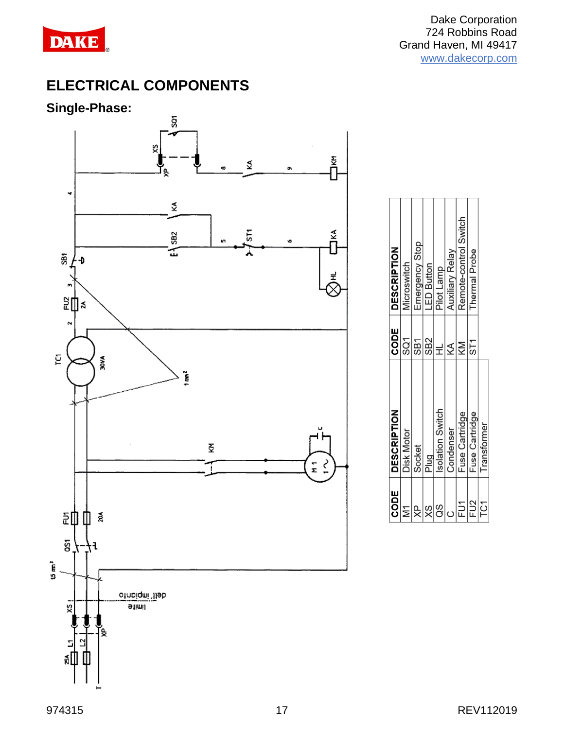

# **ELECTRICAL COMPONENTS**

#### **Single-Phase:**



| <b>SODE</b>     | <b>DESCRIPTION</b> | CODE            | <b>DESCRIPTION</b>    |
|-----------------|--------------------|-----------------|-----------------------|
| i<br>M          | <b>Disk Motor</b>  | SQ1             | Microswitch           |
| УP              | Socket             | <b>SB1</b>      | Emergency Stop        |
| XS              | Plug               | SB <sub>2</sub> | <b>LED Button</b>     |
| 8O              | solation Switch    | ᆗ               | Pilot Lamp            |
|                 | Condenser          | ≸               | Auxiliary Relay       |
| ÎЙ              | Fuse Cartridge     | KM              | Remote-control Switch |
| FU <sub>2</sub> | Fuse Cartridge     | 5T1             | <b>Thermal Probe</b>  |
| TC1             | Transformer        |                 |                       |
|                 |                    |                 |                       |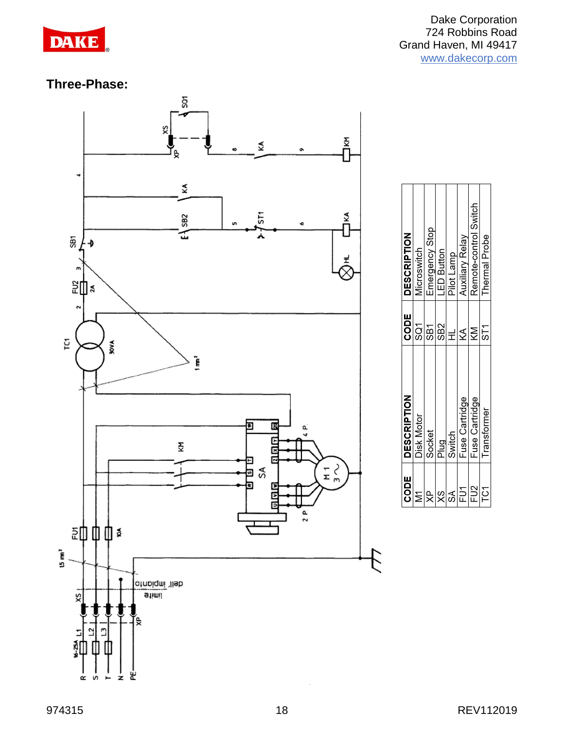

Dake Corporation 724 Robbins Road Grand Haven, MI 49417 [www.dakecorp.com](http://www.dakecorp.com/)

Remote-control Switch

**Thermal Probe** 

Pilot Lamp<br>Auxiliary Relay

Fuse Cartridge Fuse Cartridge Transformer

FU<sub>2</sub>

**FOT** 

 $\frac{1}{8}$ 

Emergency Stop<br>LED Button

Microswitch

**Disk Motor** 

Socket<br>Plug Switch

∣e  $\overline{\mathsf{M}}$ 

#### **Three-Phase:**

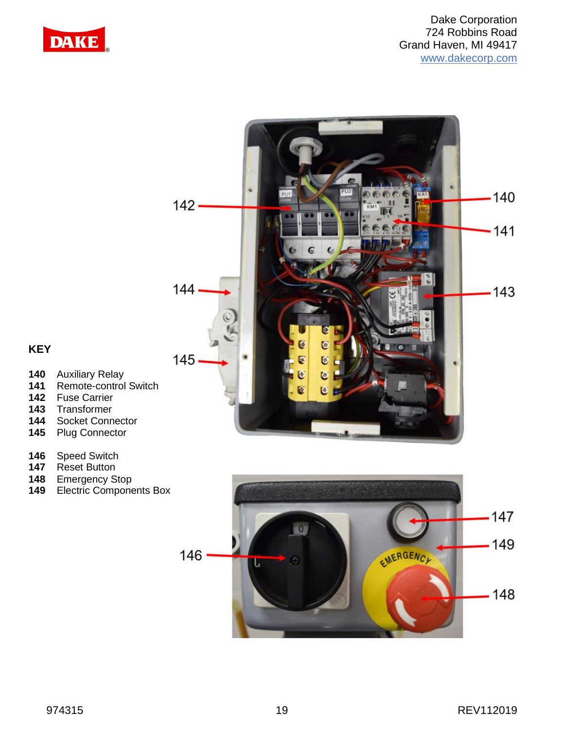



#### **KEY**

- **140** Auxiliary Relay
- **141** Remote-control Switch
- **142** Fuse Carrier
- **143** Transformer
- 
- 144 Socket Connector<br>145 Plug Connector **145** Plug Connector
- 
- 146 Speed Switch<br>147 Reset Button **147** Reset Button
- **148** Emergency Stop
- **149** Electric Components Box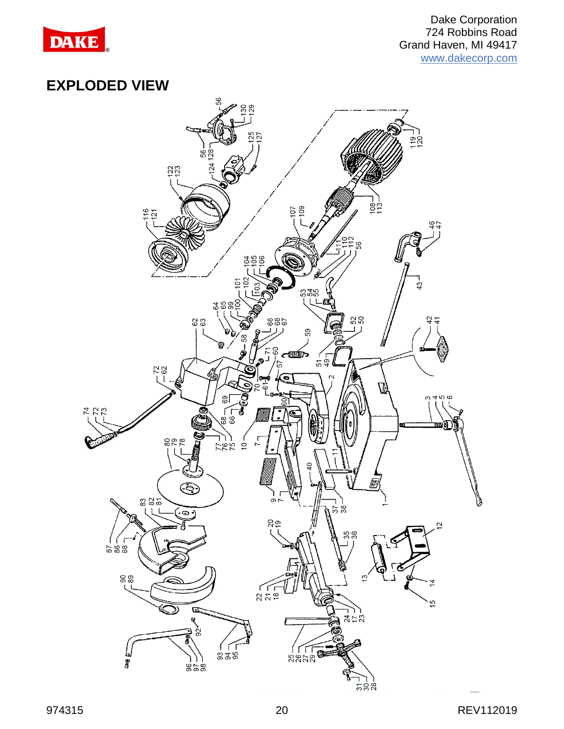

## **EXPLODED VIEW**

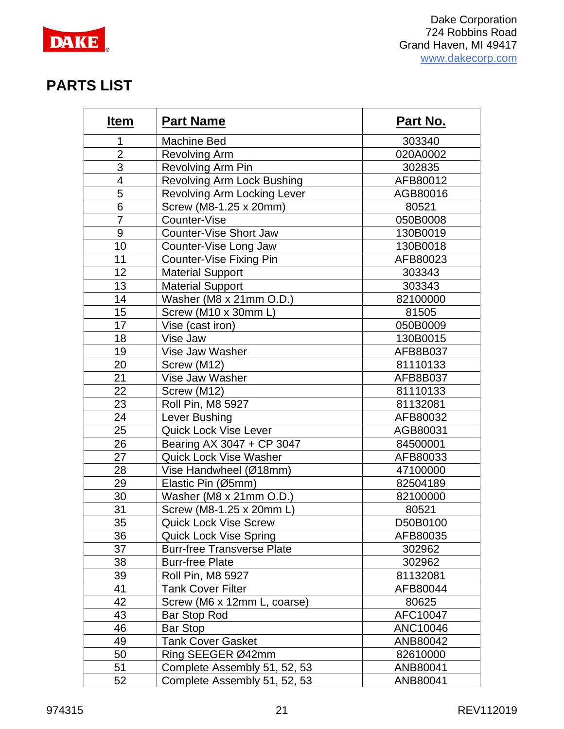

#### **PARTS LIST**

| <u>Item</u>      | <b>Part Name</b>                   | <b>Part No.</b> |
|------------------|------------------------------------|-----------------|
| 1                | <b>Machine Bed</b>                 | 303340          |
| $\overline{2}$   | <b>Revolving Arm</b>               | 020A0002        |
| 3                | Revolving Arm Pin                  | 302835          |
| $\overline{4}$   | <b>Revolving Arm Lock Bushing</b>  | AFB80012        |
| 5                | <b>Revolving Arm Locking Lever</b> | AGB80016        |
| $6\phantom{1}$   | Screw (M8-1.25 x 20mm)             | 80521           |
| $\overline{7}$   | Counter-Vise                       | 050B0008        |
| $\boldsymbol{9}$ | <b>Counter-Vise Short Jaw</b>      | 130B0019        |
| 10               | Counter-Vise Long Jaw              | 130B0018        |
| 11               | Counter-Vise Fixing Pin            | AFB80023        |
| 12               | <b>Material Support</b>            | 303343          |
| 13               | <b>Material Support</b>            | 303343          |
| 14               | Washer (M8 x 21mm O.D.)            | 82100000        |
| 15               | Screw (M10 x 30mm L)               | 81505           |
| 17               | Vise (cast iron)                   | 050B0009        |
| 18               | Vise Jaw                           | 130B0015        |
| 19               | Vise Jaw Washer                    | AFB8B037        |
| 20               | Screw (M12)                        | 81110133        |
| 21               | Vise Jaw Washer                    | AFB8B037        |
| 22               | Screw (M12)                        | 81110133        |
| 23               | Roll Pin, M8 5927                  | 81132081        |
| 24               | Lever Bushing                      | AFB80032        |
| 25               | <b>Quick Lock Vise Lever</b>       | AGB80031        |
| 26               | Bearing AX 3047 + CP 3047          | 84500001        |
| 27               | <b>Quick Lock Vise Washer</b>      | AFB80033        |
| 28               | Vise Handwheel (Ø18mm)             | 47100000        |
| 29               | Elastic Pin (Ø5mm)                 | 82504189        |
| 30               | Washer (M8 x 21mm O.D.)            | 82100000        |
| 31               | Screw (M8-1.25 x 20mm L)           | 80521           |
| 35               | <b>Quick Lock Vise Screw</b>       | D50B0100        |
| 36               | <b>Quick Lock Vise Spring</b>      | AFB80035        |
| 37               | <b>Burr-free Transverse Plate</b>  | 302962          |
| 38               | <b>Burr-free Plate</b>             | 302962          |
| 39               | Roll Pin, M8 5927                  | 81132081        |
| 41               | <b>Tank Cover Filter</b>           | AFB80044        |
| 42               | Screw (M6 x 12mm L, coarse)        | 80625           |
| 43               | <b>Bar Stop Rod</b>                | AFC10047        |
| 46               | <b>Bar Stop</b>                    | ANC10046        |
| 49               | <b>Tank Cover Gasket</b>           | ANB80042        |
| 50               | Ring SEEGER Ø42mm                  | 82610000        |
| 51               | Complete Assembly 51, 52, 53       | ANB80041        |
| 52               | Complete Assembly 51, 52, 53       | ANB80041        |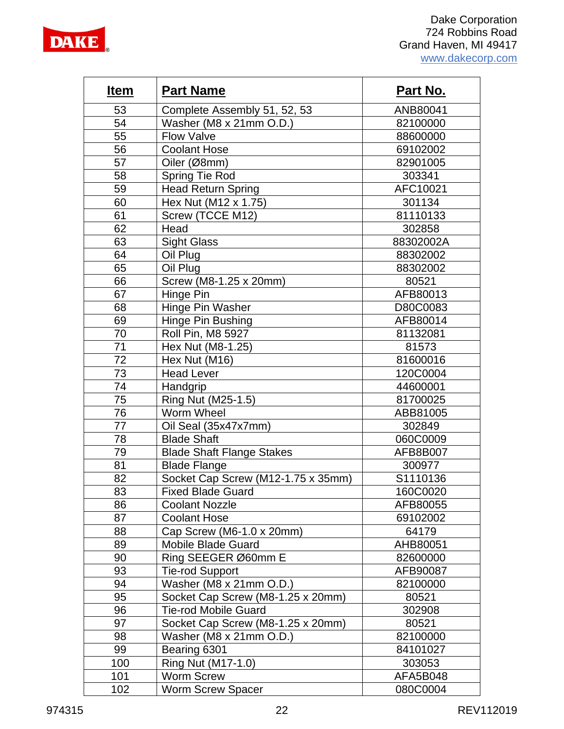

| <b>Item</b> | <b>Part Name</b>                   | <b>Part No.</b> |
|-------------|------------------------------------|-----------------|
| 53          | Complete Assembly 51, 52, 53       | ANB80041        |
| 54          | Washer (M8 x 21mm O.D.)            | 82100000        |
| 55          | <b>Flow Valve</b>                  | 88600000        |
| 56          | <b>Coolant Hose</b>                | 69102002        |
| 57          | Oiler (Ø8mm)                       | 82901005        |
| 58          | Spring Tie Rod                     | 303341          |
| 59          | <b>Head Return Spring</b>          | AFC10021        |
| 60          | Hex Nut (M12 x 1.75)               | 301134          |
| 61          | Screw (TCCE M12)                   | 81110133        |
| 62          | Head                               | 302858          |
| 63          | <b>Sight Glass</b>                 | 88302002A       |
| 64          | Oil Plug                           | 88302002        |
| 65          | Oil Plug                           | 88302002        |
| 66          | Screw (M8-1.25 x 20mm)             | 80521           |
| 67          | Hinge Pin                          | AFB80013        |
| 68          | Hinge Pin Washer                   | D80C0083        |
| 69          | Hinge Pin Bushing                  | AFB80014        |
| 70          | Roll Pin, M8 5927                  | 81132081        |
| 71          | Hex Nut (M8-1.25)                  | 81573           |
| 72          | Hex Nut (M16)                      | 81600016        |
| 73          | <b>Head Lever</b>                  | 120C0004        |
| 74          | Handgrip                           | 44600001        |
| 75          | Ring Nut (M25-1.5)                 | 81700025        |
| 76          | Worm Wheel                         | ABB81005        |
| 77          | Oil Seal (35x47x7mm)               | 302849          |
| 78          | <b>Blade Shaft</b>                 | 060C0009        |
| 79          | <b>Blade Shaft Flange Stakes</b>   | AFB8B007        |
| 81          | <b>Blade Flange</b>                | 300977          |
| 82          | Socket Cap Screw (M12-1.75 x 35mm) | S1110136        |
| 83          | <b>Fixed Blade Guard</b>           | 160C0020        |
| 86          | <b>Coolant Nozzle</b>              | AFB80055        |
| 87          | <b>Coolant Hose</b>                | 69102002        |
| 88          | Cap Screw (M6-1.0 x 20mm)          | 64179           |
| 89          | Mobile Blade Guard                 | AHB80051        |
| 90          | Ring SEEGER Ø60mm E                | 82600000        |
| 93          | <b>Tie-rod Support</b>             | AFB90087        |
| 94          | Washer (M8 x 21mm O.D.)            | 82100000        |
| 95          | Socket Cap Screw (M8-1.25 x 20mm)  | 80521           |
| 96          | <b>Tie-rod Mobile Guard</b>        | 302908          |
| 97          | Socket Cap Screw (M8-1.25 x 20mm)  | 80521           |
| 98          | Washer (M8 x 21mm O.D.)            | 82100000        |
| 99          | Bearing 6301                       | 84101027        |
| 100         | Ring Nut (M17-1.0)                 | 303053          |
| 101         | <b>Worm Screw</b>                  | AFA5B048        |
| 102         | <b>Worm Screw Spacer</b>           | 080C0004        |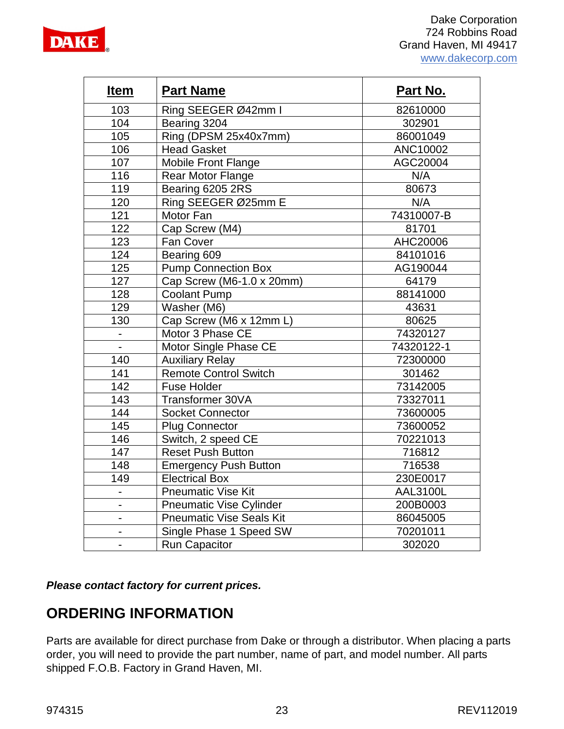

| <u>Item</u>    | <b>Part Name</b>                | Part No.        |
|----------------|---------------------------------|-----------------|
| 103            | Ring SEEGER Ø42mm I             | 82610000        |
| 104            | Bearing 3204                    | 302901          |
| 105            | Ring (DPSM 25x40x7mm)           | 86001049        |
| 106            | <b>Head Gasket</b>              | ANC10002        |
| 107            | <b>Mobile Front Flange</b>      | AGC20004        |
| 116            | <b>Rear Motor Flange</b>        | N/A             |
| 119            | Bearing 6205 2RS                | 80673           |
| 120            | Ring SEEGER Ø25mm E             | N/A             |
| 121            | Motor Fan                       | 74310007-B      |
| 122            | Cap Screw (M4)                  | 81701           |
| 123            | Fan Cover                       | AHC20006        |
| 124            | Bearing 609                     | 84101016        |
| 125            | <b>Pump Connection Box</b>      | AG190044        |
| 127            | Cap Screw (M6-1.0 x 20mm)       | 64179           |
| 128            | <b>Coolant Pump</b>             | 88141000        |
| 129            | Washer (M6)                     | 43631           |
| 130            | Cap Screw (M6 x 12mm L)         | 80625           |
|                | Motor 3 Phase CE                | 74320127        |
|                | Motor Single Phase CE           | 74320122-1      |
| 140            | <b>Auxiliary Relay</b>          | 72300000        |
| 141            | <b>Remote Control Switch</b>    | 301462          |
| 142            | <b>Fuse Holder</b>              | 73142005        |
| 143            | Transformer 30VA                | 73327011        |
| 144            | <b>Socket Connector</b>         | 73600005        |
| 145            | <b>Plug Connector</b>           | 73600052        |
| 146            | Switch, 2 speed CE              | 70221013        |
| 147            | <b>Reset Push Button</b>        | 716812          |
| 148            | <b>Emergency Push Button</b>    | 716538          |
| 149            | <b>Electrical Box</b>           | 230E0017        |
| $\blacksquare$ | <b>Pneumatic Vise Kit</b>       | <b>AAL3100L</b> |
|                | <b>Pneumatic Vise Cylinder</b>  | 200B0003        |
|                | <b>Pneumatic Vise Seals Kit</b> | 86045005        |
|                | Single Phase 1 Speed SW         | 70201011        |
|                | <b>Run Capacitor</b>            | 302020          |

*Please contact factory for current prices.*

## **ORDERING INFORMATION**

Parts are available for direct purchase from Dake or through a distributor. When placing a parts order, you will need to provide the part number, name of part, and model number. All parts shipped F.O.B. Factory in Grand Haven, MI.